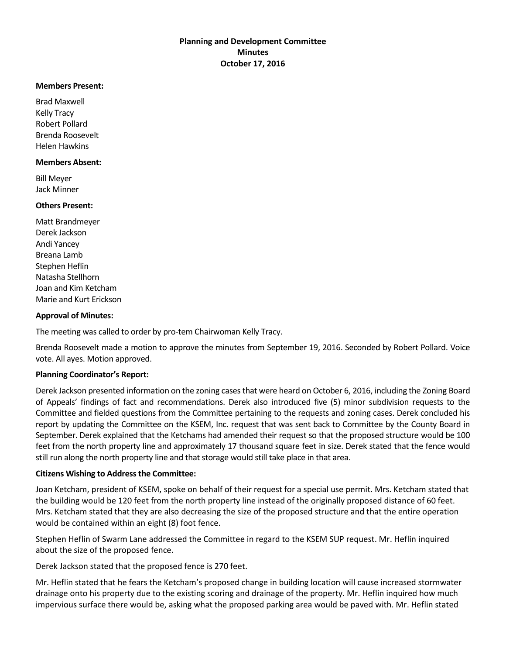# **Planning and Development Committee Minutes October 17, 2016**

#### **Members Present:**

Brad Maxwell Kelly Tracy Robert Pollard Brenda Roosevelt Helen Hawkins

#### **Members Absent:**

Bill Meyer Jack Minner

## **Others Present:**

Matt Brandmeyer Derek Jackson Andi Yancey Breana Lamb Stephen Heflin Natasha Stellhorn Joan and Kim Ketcham Marie and Kurt Erickson

## **Approval of Minutes:**

The meeting was called to order by pro-tem Chairwoman Kelly Tracy.

Brenda Roosevelt made a motion to approve the minutes from September 19, 2016. Seconded by Robert Pollard. Voice vote. All ayes. Motion approved.

## **Planning Coordinator's Report:**

Derek Jackson presented information on the zoning cases that were heard on October 6, 2016, including the Zoning Board of Appeals' findings of fact and recommendations. Derek also introduced five (5) minor subdivision requests to the Committee and fielded questions from the Committee pertaining to the requests and zoning cases. Derek concluded his report by updating the Committee on the KSEM, Inc. request that was sent back to Committee by the County Board in September. Derek explained that the Ketchams had amended their request so that the proposed structure would be 100 feet from the north property line and approximately 17 thousand square feet in size. Derek stated that the fence would still run along the north property line and that storage would still take place in that area.

## **Citizens Wishing to Address the Committee:**

Joan Ketcham, president of KSEM, spoke on behalf of their request for a special use permit. Mrs. Ketcham stated that the building would be 120 feet from the north property line instead of the originally proposed distance of 60 feet. Mrs. Ketcham stated that they are also decreasing the size of the proposed structure and that the entire operation would be contained within an eight (8) foot fence.

Stephen Heflin of Swarm Lane addressed the Committee in regard to the KSEM SUP request. Mr. Heflin inquired about the size of the proposed fence.

Derek Jackson stated that the proposed fence is 270 feet.

Mr. Heflin stated that he fears the Ketcham's proposed change in building location will cause increased stormwater drainage onto his property due to the existing scoring and drainage of the property. Mr. Heflin inquired how much impervious surface there would be, asking what the proposed parking area would be paved with. Mr. Heflin stated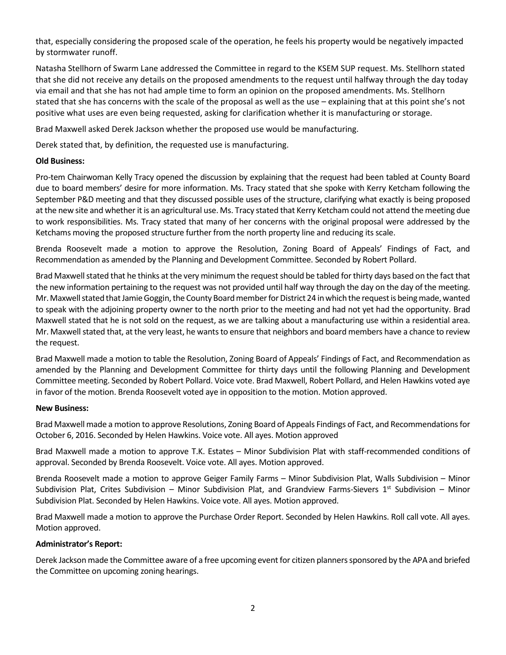that, especially considering the proposed scale of the operation, he feels his property would be negatively impacted by stormwater runoff.

Natasha Stellhorn of Swarm Lane addressed the Committee in regard to the KSEM SUP request. Ms. Stellhorn stated that she did not receive any details on the proposed amendments to the request until halfway through the day today via email and that she has not had ample time to form an opinion on the proposed amendments. Ms. Stellhorn stated that she has concerns with the scale of the proposal as well as the use – explaining that at this point she's not positive what uses are even being requested, asking for clarification whether it is manufacturing or storage.

Brad Maxwell asked Derek Jackson whether the proposed use would be manufacturing.

Derek stated that, by definition, the requested use is manufacturing.

## **Old Business:**

Pro-tem Chairwoman Kelly Tracy opened the discussion by explaining that the request had been tabled at County Board due to board members' desire for more information. Ms. Tracy stated that she spoke with Kerry Ketcham following the September P&D meeting and that they discussed possible uses of the structure, clarifying what exactly is being proposed at the new site and whether it is an agricultural use. Ms. Tracy stated that Kerry Ketcham could not attend the meeting due to work responsibilities. Ms. Tracy stated that many of her concerns with the original proposal were addressed by the Ketchams moving the proposed structure further from the north property line and reducing its scale.

Brenda Roosevelt made a motion to approve the Resolution, Zoning Board of Appeals' Findings of Fact, and Recommendation as amended by the Planning and Development Committee. Seconded by Robert Pollard.

Brad Maxwell stated that he thinks at the very minimum the request should be tabled for thirty days based on the fact that the new information pertaining to the request was not provided until half way through the day on the day of the meeting. Mr. Maxwell stated that Jamie Goggin, the County Board member for District 24 in which the request is being made, wanted to speak with the adjoining property owner to the north prior to the meeting and had not yet had the opportunity. Brad Maxwell stated that he is not sold on the request, as we are talking about a manufacturing use within a residential area. Mr. Maxwell stated that, at the very least, he wants to ensure that neighbors and board members have a chance to review the request.

Brad Maxwell made a motion to table the Resolution, Zoning Board of Appeals' Findings of Fact, and Recommendation as amended by the Planning and Development Committee for thirty days until the following Planning and Development Committee meeting. Seconded by Robert Pollard. Voice vote. Brad Maxwell, Robert Pollard, and Helen Hawkins voted aye in favor of the motion. Brenda Roosevelt voted aye in opposition to the motion. Motion approved.

#### **New Business:**

Brad Maxwell made a motion to approve Resolutions, Zoning Board of Appeals Findings of Fact, and Recommendations for October 6, 2016. Seconded by Helen Hawkins. Voice vote. All ayes. Motion approved

Brad Maxwell made a motion to approve T.K. Estates – Minor Subdivision Plat with staff-recommended conditions of approval. Seconded by Brenda Roosevelt. Voice vote. All ayes. Motion approved.

Brenda Roosevelt made a motion to approve Geiger Family Farms – Minor Subdivision Plat, Walls Subdivision – Minor Subdivision Plat, Crites Subdivision – Minor Subdivision Plat, and Grandview Farms-Sievers  $1<sup>st</sup>$  Subdivision – Minor Subdivision Plat. Seconded by Helen Hawkins. Voice vote. All ayes. Motion approved.

Brad Maxwell made a motion to approve the Purchase Order Report. Seconded by Helen Hawkins. Roll call vote. All ayes. Motion approved.

## **Administrator's Report:**

Derek Jackson made the Committee aware of a free upcoming event for citizen planners sponsored by the APA and briefed the Committee on upcoming zoning hearings.